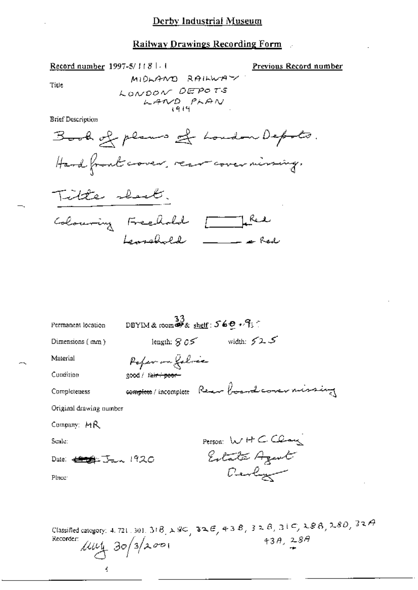### Railway Drawings Recording Form

Record number 1997-5/11811

Previous Record number

Title

MIDLAND RAILWAY LONDON DEPOTS  $LAND$ PLAN

**Brief Description** 



سينظ

| Permanent location                                                                                                                                                                                                                                                                                                                                                                                                                                                                        | $\frac{33}{25}$ DBYIM & room $\frac{33}{20}$ shelf : $569 \sqrt{3}$ . |                                             |
|-------------------------------------------------------------------------------------------------------------------------------------------------------------------------------------------------------------------------------------------------------------------------------------------------------------------------------------------------------------------------------------------------------------------------------------------------------------------------------------------|-----------------------------------------------------------------------|---------------------------------------------|
| Dimensions (mm)                                                                                                                                                                                                                                                                                                                                                                                                                                                                           |                                                                       | length: $805$ width: $525$                  |
| Material                                                                                                                                                                                                                                                                                                                                                                                                                                                                                  | Poper on folice                                                       |                                             |
| Cundition                                                                                                                                                                                                                                                                                                                                                                                                                                                                                 | good / fa <del>ir : poor -</del>                                      |                                             |
| Completeness                                                                                                                                                                                                                                                                                                                                                                                                                                                                              |                                                                       | complete/incomplete Reen boardcorer missing |
| Original drawing number                                                                                                                                                                                                                                                                                                                                                                                                                                                                   |                                                                       |                                             |
| Company: MR                                                                                                                                                                                                                                                                                                                                                                                                                                                                               |                                                                       |                                             |
| Scale:                                                                                                                                                                                                                                                                                                                                                                                                                                                                                    |                                                                       | Person: WHCClau                             |
| Date: $\leftarrow$ $\leftarrow$ $\leftarrow$ $\leftarrow$ $\leftarrow$ $\leftarrow$ $\leftarrow$ $\leftarrow$ $\leftarrow$ $\leftarrow$ $\leftarrow$ $\leftarrow$ $\leftarrow$ $\leftarrow$ $\leftarrow$ $\leftarrow$ $\leftarrow$ $\leftarrow$ $\leftarrow$ $\leftarrow$ $\leftarrow$ $\leftarrow$ $\leftarrow$ $\leftarrow$ $\leftarrow$ $\leftarrow$ $\leftarrow$ $\leftarrow$ $\leftarrow$ $\leftarrow$ $\leftarrow$ $\leftarrow$ $\leftarrow$ $\leftarrow$ $\leftarrow$ $\leftarrow$ |                                                                       | Estata Azent                                |
| Place:                                                                                                                                                                                                                                                                                                                                                                                                                                                                                    |                                                                       | Devly                                       |
|                                                                                                                                                                                                                                                                                                                                                                                                                                                                                           |                                                                       |                                             |
|                                                                                                                                                                                                                                                                                                                                                                                                                                                                                           |                                                                       |                                             |

Classified category: 4, 721, 301, 318,  $\lambda$  80, 32E, 43B, 32B, 31C, 28B, 28D, 32A 43A,  $28A$ Recorder:  $\mu$ uy 30/3/2001 ś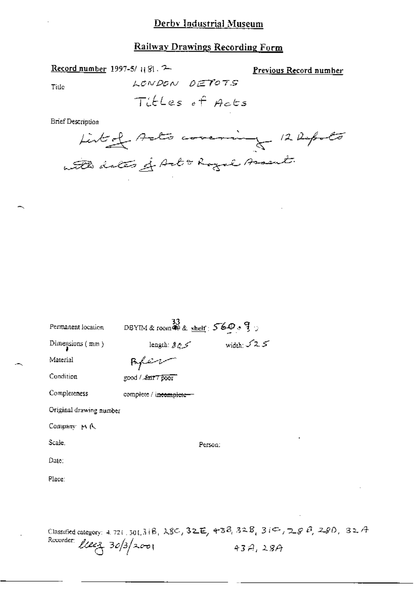### Derby Industrial Museum

## Railway Drawings Recording Form

Previous Record number

Record number 1997-5/1181. 2 LONDON DETOTS Title

Titles of Acts

Brief Description

List of Acts covering 12 Reports with dates of Arbo Royal Assent.

| Permanent location      | DBYIM & room 49 & shelf: $569.9$ ; |                     |      |  |  |
|-------------------------|------------------------------------|---------------------|------|--|--|
| Dimensions $(mn)$       | محرج a !ength                      | width: $\sqrt{2.5}$ |      |  |  |
| Material                |                                    |                     |      |  |  |
| Condition               | good / Lair 7 poor"                |                     |      |  |  |
| Completeness            | complete / i <del>ncomplete-</del> |                     |      |  |  |
| Original drawing number |                                    |                     |      |  |  |
| Company 14 A            |                                    |                     |      |  |  |
| Scale.                  | Person:                            |                     |      |  |  |
| Date:                   |                                    |                     |      |  |  |
| Place:                  |                                    |                     |      |  |  |
|                         |                                    |                     |      |  |  |
|                         |                                    |                     |      |  |  |
|                         |                                    |                     | B ik |  |  |

 $4.721.301.316$ ,  $280, 32E, 438, 328, 310, 288, 290, 32A$ Classified category: Recorder: *ULLE*Z 30/3/2001  $43A,28A$